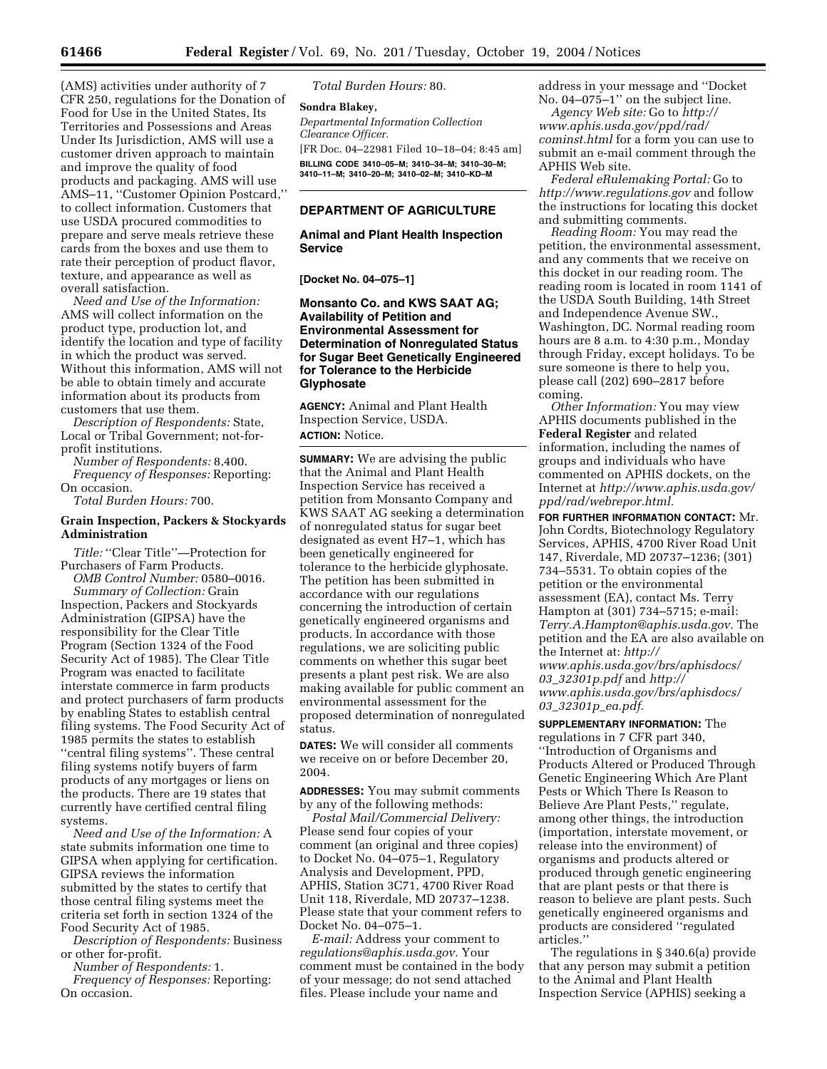(AMS) activities under authority of 7 CFR 250, regulations for the Donation of Food for Use in the United States, Its Territories and Possessions and Areas Under Its Jurisdiction, AMS will use a customer driven approach to maintain and improve the quality of food products and packaging. AMS will use AMS–11, ''Customer Opinion Postcard,'' to collect information. Customers that use USDA procured commodities to prepare and serve meals retrieve these cards from the boxes and use them to rate their perception of product flavor, texture, and appearance as well as overall satisfaction.

*Need and Use of the Information:* AMS will collect information on the product type, production lot, and identify the location and type of facility in which the product was served. Without this information, AMS will not be able to obtain timely and accurate information about its products from customers that use them.

*Description of Respondents:* State, Local or Tribal Government; not-forprofit institutions.

*Number of Respondents:* 8,400. *Frequency of Responses:* Reporting: On occasion.

*Total Burden Hours:* 700.

## **Grain Inspection, Packers & Stockyards Administration**

*Title:* "Clear Title"—Protection for Purchasers of Farm Products.

*OMB Control Number:* 0580–0016. *Summary of Collection:* Grain Inspection, Packers and Stockyards Administration (GIPSA) have the responsibility for the Clear Title Program (Section 1324 of the Food Security Act of 1985). The Clear Title Program was enacted to facilitate interstate commerce in farm products and protect purchasers of farm products by enabling States to establish central filing systems. The Food Security Act of 1985 permits the states to establish ''central filing systems''. These central filing systems notify buyers of farm products of any mortgages or liens on the products. There are 19 states that currently have certified central filing systems.

*Need and Use of the Information:* A state submits information one time to GIPSA when applying for certification. GIPSA reviews the information submitted by the states to certify that those central filing systems meet the criteria set forth in section 1324 of the Food Security Act of 1985.

*Description of Respondents:* Business or other for-profit.

*Number of Respondents:* 1.

*Frequency of Responses:* Reporting: On occasion.

*Total Burden Hours:* 80.

**Sondra Blakey,**  *Departmental Information Collection Clearance Officer.* [FR Doc. 04–22981 Filed 10–18–04; 8:45 am] **BILLING CODE 3410–05–M; 3410–34–M; 3410–30–M; 3410–11–M; 3410–20–M; 3410–02–M; 3410–KD–M**

# **DEPARTMENT OF AGRICULTURE**

### **Animal and Plant Health Inspection Service**

**[Docket No. 04–075–1]** 

## **Monsanto Co. and KWS SAAT AG; Availability of Petition and Environmental Assessment for Determination of Nonregulated Status for Sugar Beet Genetically Engineered for Tolerance to the Herbicide Glyphosate**

**AGENCY:** Animal and Plant Health Inspection Service, USDA. **ACTION:** Notice.

**SUMMARY:** We are advising the public that the Animal and Plant Health Inspection Service has received a petition from Monsanto Company and KWS SAAT AG seeking a determination of nonregulated status for sugar beet designated as event H7–1, which has been genetically engineered for tolerance to the herbicide glyphosate. The petition has been submitted in accordance with our regulations concerning the introduction of certain genetically engineered organisms and products. In accordance with those regulations, we are soliciting public comments on whether this sugar beet presents a plant pest risk. We are also making available for public comment an environmental assessment for the proposed determination of nonregulated status.

**DATES:** We will consider all comments we receive on or before December 20, 2004.

**ADDRESSES:** You may submit comments by any of the following methods:

*Postal Mail/Commercial Delivery:* Please send four copies of your comment (an original and three copies) to Docket No. 04–075–1, Regulatory Analysis and Development, PPD, APHIS, Station 3C71, 4700 River Road Unit 118, Riverdale, MD 20737–1238. Please state that your comment refers to Docket No. 04–075–1.

*E-mail:* Address your comment to *regulations@aphis.usda.gov.* Your comment must be contained in the body of your message; do not send attached files. Please include your name and

address in your message and ''Docket No. 04–075–1'' on the subject line.

*Agency Web site:* Go to *http:// www.aphis.usda.gov/ppd/rad/ cominst.html* for a form you can use to submit an e-mail comment through the APHIS Web site.

*Federal eRulemaking Portal:* Go to *http://www.regulations.gov* and follow the instructions for locating this docket and submitting comments.

*Reading Room:* You may read the petition, the environmental assessment, and any comments that we receive on this docket in our reading room. The reading room is located in room 1141 of the USDA South Building, 14th Street and Independence Avenue SW., Washington, DC. Normal reading room hours are 8 a.m. to 4:30 p.m., Monday through Friday, except holidays. To be sure someone is there to help you, please call (202) 690–2817 before coming.

*Other Information:* You may view APHIS documents published in the **Federal Register** and related information, including the names of groups and individuals who have commented on APHIS dockets, on the Internet at *http://www.aphis.usda.gov/ ppd/rad/webrepor.html.*

**FOR FURTHER INFORMATION CONTACT:** Mr. John Cordts, Biotechnology Regulatory Services, APHIS, 4700 River Road Unit 147, Riverdale, MD 20737–1236; (301) 734–5531. To obtain copies of the petition or the environmental assessment (EA), contact Ms. Terry Hampton at (301) 734–5715; e-mail: *Terry.A.Hampton@aphis.usda.gov.* The petition and the EA are also available on the Internet at: *http:// www.aphis.usda.gov/brs/aphisdocs/ 03*\_*32301p.pdf* and *http:// www.aphis.usda.gov/brs/aphisdocs/ 03*\_*32301p*\_*ea.pdf.*

**SUPPLEMENTARY INFORMATION:** The regulations in 7 CFR part 340, ''Introduction of Organisms and Products Altered or Produced Through Genetic Engineering Which Are Plant Pests or Which There Is Reason to Believe Are Plant Pests,'' regulate, among other things, the introduction (importation, interstate movement, or release into the environment) of organisms and products altered or produced through genetic engineering that are plant pests or that there is reason to believe are plant pests. Such genetically engineered organisms and products are considered ''regulated articles.''

The regulations in § 340.6(a) provide that any person may submit a petition to the Animal and Plant Health Inspection Service (APHIS) seeking a